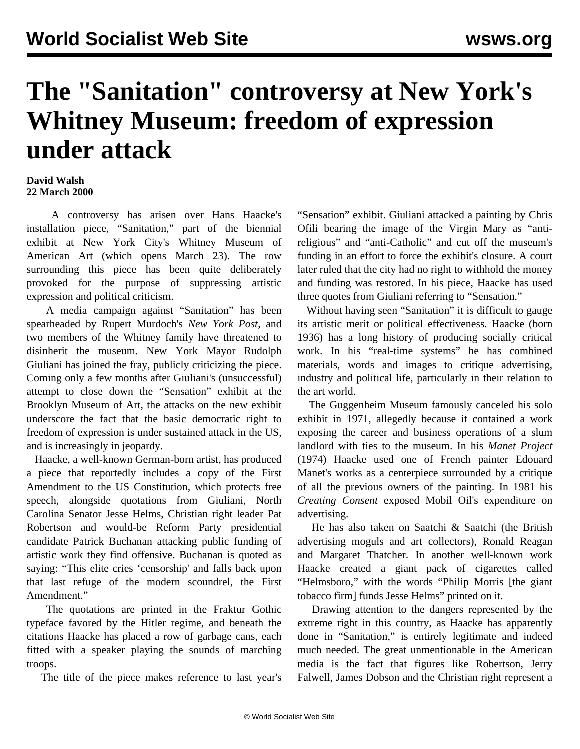## **The "Sanitation" controversy at New York's Whitney Museum: freedom of expression under attack**

## **David Walsh 22 March 2000**

 A controversy has arisen over Hans Haacke's installation piece, "Sanitation," part of the biennial exhibit at New York City's Whitney Museum of American Art (which opens March 23). The row surrounding this piece has been quite deliberately provoked for the purpose of suppressing artistic expression and political criticism.

 A media campaign against "Sanitation" has been spearheaded by Rupert Murdoch's *New York Post*, and two members of the Whitney family have threatened to disinherit the museum. New York Mayor Rudolph Giuliani has joined the fray, publicly criticizing the piece. Coming only a few months after Giuliani's (unsuccessful) attempt to close down the "Sensation" exhibit at the Brooklyn Museum of Art, the attacks on the new exhibit underscore the fact that the basic democratic right to freedom of expression is under sustained attack in the US, and is increasingly in jeopardy.

 Haacke, a well-known German-born artist, has produced a piece that reportedly includes a copy of the First Amendment to the US Constitution, which protects free speech, alongside quotations from Giuliani, North Carolina Senator Jesse Helms, Christian right leader Pat Robertson and would-be Reform Party presidential candidate Patrick Buchanan attacking public funding of artistic work they find offensive. Buchanan is quoted as saying: "This elite cries 'censorship' and falls back upon that last refuge of the modern scoundrel, the First Amendment."

 The quotations are printed in the Fraktur Gothic typeface favored by the Hitler regime, and beneath the citations Haacke has placed a row of garbage cans, each fitted with a speaker playing the sounds of marching troops.

The title of the piece makes reference to last year's

"Sensation" exhibit. Giuliani attacked a painting by Chris Ofili bearing the image of the Virgin Mary as "antireligious" and "anti-Catholic" and cut off the museum's funding in an effort to force the exhibit's closure. A court later ruled that the city had no right to withhold the money and funding was restored. In his piece, Haacke has used three quotes from Giuliani referring to "Sensation."

 Without having seen "Sanitation" it is difficult to gauge its artistic merit or political effectiveness. Haacke (born 1936) has a long history of producing socially critical work. In his "real-time systems" he has combined materials, words and images to critique advertising, industry and political life, particularly in their relation to the art world.

 The Guggenheim Museum famously canceled his solo exhibit in 1971, allegedly because it contained a work exposing the career and business operations of a slum landlord with ties to the museum. In his *Manet Project* (1974) Haacke used one of French painter Edouard Manet's works as a centerpiece surrounded by a critique of all the previous owners of the painting. In 1981 his *Creating Consent* exposed Mobil Oil's expenditure on advertising.

 He has also taken on Saatchi & Saatchi (the British advertising moguls and art collectors), Ronald Reagan and Margaret Thatcher. In another well-known work Haacke created a giant pack of cigarettes called "Helmsboro," with the words "Philip Morris [the giant tobacco firm] funds Jesse Helms" printed on it.

 Drawing attention to the dangers represented by the extreme right in this country, as Haacke has apparently done in "Sanitation," is entirely legitimate and indeed much needed. The great unmentionable in the American media is the fact that figures like Robertson, Jerry Falwell, James Dobson and the Christian right represent a